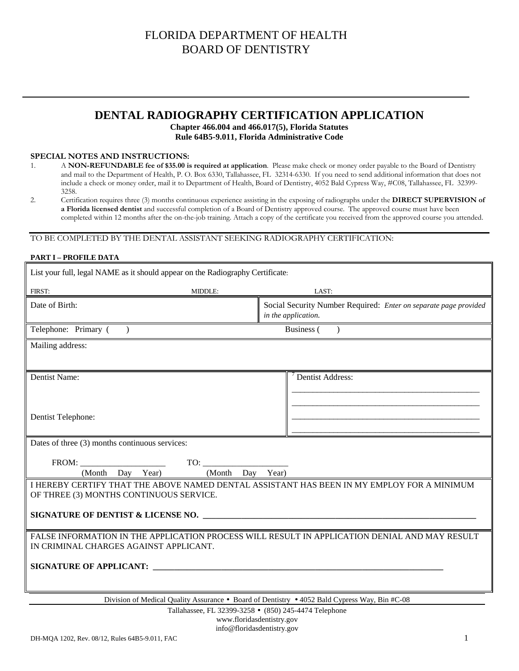### **DENTAL RADIOGRAPHY CERTIFICATION APPLICATION**

#### **Chapter 466.004 and 466.017(5), Florida Statutes Rule 64B5-9.011, Florida Administrative Code**

#### **SPECIAL NOTES AND INSTRUCTIONS:**

- 1. A **NON-REFUNDABLE fee of \$35.00 is required at application**. Please make check or money order payable to the Board of Dentistry and mail to the Department of Health, P. O. Box 6330, Tallahassee, FL 32314-6330. If you need to send additional information that does not include a check or money order, mail it to Department of Health, Board of Dentistry, 4052 Bald Cypress Way, #C08, Tallahassee, FL 32399- 3258.
- 2. Certification requires three (3) months continuous experience assisting in the exposing of radiographs under the **DIRECT SUPERVISION of a Florida licensed dentist** and successful completion of a Board of Dentistry approved course. The approved course must have been completed within 12 months after the on-the-job training. Attach a copy of the certificate you received from the approved course you attended.

### TO BE COMPLETED BY THE DENTAL ASSISTANT SEEKING RADIOGRAPHY CERTIFICATION:

#### **PART I – PROFILE DATA**

| List your full, legal NAME as it should appear on the Radiography Certificate:                |                |                                                                                                                                  |  |
|-----------------------------------------------------------------------------------------------|----------------|----------------------------------------------------------------------------------------------------------------------------------|--|
| FIRST:                                                                                        | <b>MIDDLE:</b> | LAST:                                                                                                                            |  |
| Date of Birth:                                                                                |                | Social Security Number Required: Enter on separate page provided<br>in the application.                                          |  |
| Telephone: Primary (<br>$\rightarrow$                                                         |                | Business (                                                                                                                       |  |
| Mailing address:                                                                              |                |                                                                                                                                  |  |
| Dentist Name:                                                                                 |                | $7$ Dentist Address:                                                                                                             |  |
| Dentist Telephone:                                                                            |                |                                                                                                                                  |  |
| Dates of three (3) months continuous services:                                                |                |                                                                                                                                  |  |
| FROM:<br>(Month Day Year)                                                                     | TO:<br>(Month  | Day Year)                                                                                                                        |  |
| OF THREE (3) MONTHS CONTINUOUS SERVICE.                                                       |                | I HEREBY CERTIFY THAT THE ABOVE NAMED DENTAL ASSISTANT HAS BEEN IN MY EMPLOY FOR A MINIMUM<br>SIGNATURE OF DENTIST & LICENSE NO. |  |
|                                                                                               |                |                                                                                                                                  |  |
| IN CRIMINAL CHARGES AGAINST APPLICANT.                                                        |                | FALSE INFORMATION IN THE APPLICATION PROCESS WILL RESULT IN APPLICATION DENIAL AND MAY RESULT                                    |  |
|                                                                                               |                |                                                                                                                                  |  |
| Division of Medical Quality Assurance • Board of Dentistry • 4052 Bald Cypress Way, Bin #C-08 |                |                                                                                                                                  |  |

Tallahassee, FL 32399-3258 • (850) 245-4474 Telephone

www.floridasdentistry.gov info@floridasdentistry.gov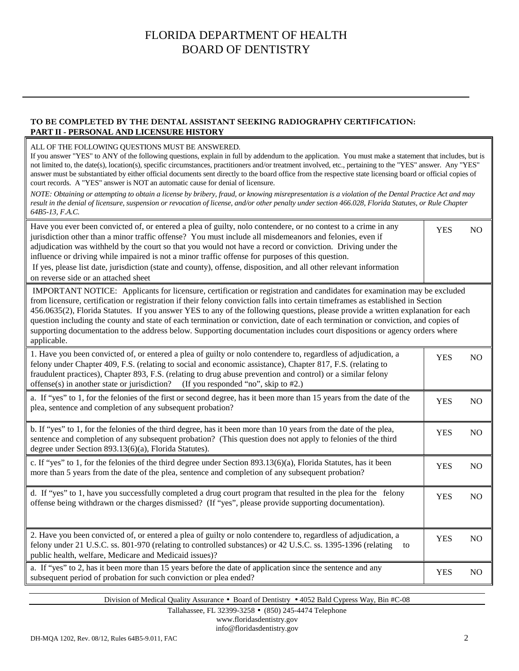### **TO BE COMPLETED BY THE DENTAL ASSISTANT SEEKING RADIOGRAPHY CERTIFICATION: PART II - PERSONAL AND LICENSURE HISTORY**

#### ALL OF THE FOLLOWING QUESTIONS MUST BE ANSWERED.

If you answer "YES" to ANY of the following questions, explain in full by addendum to the application. You must make a statement that includes, but is not limited to, the date(s), location(s), specific circumstances, practitioners and/or treatment involved, etc., pertaining to the "YES" answer. Any "YES" answer must be substantiated by either official documents sent directly to the board office from the respective state licensing board or official copies of court records. A "YES" answer is NOT an automatic cause for denial of licensure.

*NOTE: Obtaining or attempting to obtain a license by bribery, fraud, or knowing misrepresentation is a violation of the Dental Practice Act and may result in the denial of licensure, suspension or revocation of license, and/or other penalty under section 466.028, Florida Statutes, or Rule Chapter 64B5-13, F.A.C.* 

| Have you ever been convicted of, or entered a plea of guilty, nolo contendere, or no contest to a crime in any<br>jurisdiction other than a minor traffic offense? You must include all misdemeanors and felonies, even if<br>adjudication was withheld by the court so that you would not have a record or conviction. Driving under the<br>influence or driving while impaired is not a minor traffic offense for purposes of this question.<br>If yes, please list date, jurisdiction (state and county), offense, disposition, and all other relevant information<br>on reverse side or an attached sheet                                                                      | <b>YES</b> | N <sub>O</sub> |
|------------------------------------------------------------------------------------------------------------------------------------------------------------------------------------------------------------------------------------------------------------------------------------------------------------------------------------------------------------------------------------------------------------------------------------------------------------------------------------------------------------------------------------------------------------------------------------------------------------------------------------------------------------------------------------|------------|----------------|
| IMPORTANT NOTICE: Applicants for licensure, certification or registration and candidates for examination may be excluded<br>from licensure, certification or registration if their felony conviction falls into certain timeframes as established in Section<br>456.0635(2), Florida Statutes. If you answer YES to any of the following questions, please provide a written explanation for each<br>question including the county and state of each termination or conviction, date of each termination or conviction, and copies of<br>supporting documentation to the address below. Supporting documentation includes court dispositions or agency orders where<br>applicable. |            |                |
| 1. Have you been convicted of, or entered a plea of guilty or nolo contendere to, regardless of adjudication, a<br>felony under Chapter 409, F.S. (relating to social and economic assistance), Chapter 817, F.S. (relating to<br>fraudulent practices), Chapter 893, F.S. (relating to drug abuse prevention and control) or a similar felony<br>offense(s) in another state or jurisdiction?<br>(If you responded "no", skip to #2.)                                                                                                                                                                                                                                             | <b>YES</b> | N <sub>O</sub> |
| a. If "yes" to 1, for the felonies of the first or second degree, has it been more than 15 years from the date of the<br>plea, sentence and completion of any subsequent probation?                                                                                                                                                                                                                                                                                                                                                                                                                                                                                                | <b>YES</b> | N <sub>O</sub> |
| b. If "yes" to 1, for the felonies of the third degree, has it been more than 10 years from the date of the plea,<br>sentence and completion of any subsequent probation? (This question does not apply to felonies of the third<br>degree under Section 893.13(6)(a), Florida Statutes).                                                                                                                                                                                                                                                                                                                                                                                          | <b>YES</b> | N <sub>O</sub> |
| c. If "yes" to 1, for the felonies of the third degree under Section 893.13(6)(a), Florida Statutes, has it been<br>more than 5 years from the date of the plea, sentence and completion of any subsequent probation?                                                                                                                                                                                                                                                                                                                                                                                                                                                              | <b>YES</b> | N <sub>O</sub> |
| d. If "yes" to 1, have you successfully completed a drug court program that resulted in the plea for the felony<br>offense being withdrawn or the charges dismissed? (If "yes", please provide supporting documentation).                                                                                                                                                                                                                                                                                                                                                                                                                                                          | <b>YES</b> | NO             |
| 2. Have you been convicted of, or entered a plea of guilty or nolo contendere to, regardless of adjudication, a<br>felony under 21 U.S.C. ss. 801-970 (relating to controlled substances) or 42 U.S.C. ss. 1395-1396 (relating<br>to<br>public health, welfare, Medicare and Medicaid issues)?                                                                                                                                                                                                                                                                                                                                                                                     | <b>YES</b> | N <sub>O</sub> |
| a. If "yes" to 2, has it been more than 15 years before the date of application since the sentence and any<br>subsequent period of probation for such conviction or plea ended?                                                                                                                                                                                                                                                                                                                                                                                                                                                                                                    | <b>YES</b> | N <sub>O</sub> |

Division of Medical Quality Assurance • Board of Dentistry • 4052 Bald Cypress Way, Bin #C-08

Tallahassee, FL 32399-3258 • (850) 245-4474 Telephone

www.floridasdentistry.gov info@floridasdentistry.gov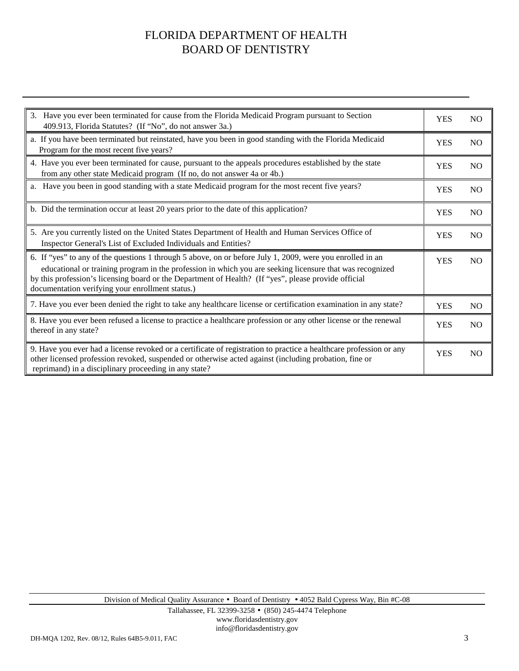| 3. Have you ever been terminated for cause from the Florida Medicaid Program pursuant to Section<br>409.913, Florida Statutes? (If "No", do not answer 3a.)                                                                                                                                                                                                                       | <b>YES</b> | N <sub>O</sub> |
|-----------------------------------------------------------------------------------------------------------------------------------------------------------------------------------------------------------------------------------------------------------------------------------------------------------------------------------------------------------------------------------|------------|----------------|
| a. If you have been terminated but reinstated, have you been in good standing with the Florida Medicaid<br>Program for the most recent five years?                                                                                                                                                                                                                                |            |                |
| 4. Have you ever been terminated for cause, pursuant to the appeals procedures established by the state<br>from any other state Medicaid program (If no, do not answer 4a or 4b.)                                                                                                                                                                                                 |            |                |
| a. Have you been in good standing with a state Medicaid program for the most recent five years?                                                                                                                                                                                                                                                                                   | <b>YES</b> | N <sub>O</sub> |
| b. Did the termination occur at least 20 years prior to the date of this application?                                                                                                                                                                                                                                                                                             | <b>YES</b> | <b>NO</b>      |
| 5. Are you currently listed on the United States Department of Health and Human Services Office of<br>Inspector General's List of Excluded Individuals and Entities?                                                                                                                                                                                                              | <b>YES</b> | N <sub>O</sub> |
| 6. If "yes" to any of the questions 1 through 5 above, on or before July 1, 2009, were you enrolled in an<br>educational or training program in the profession in which you are seeking licensure that was recognized<br>by this profession's licensing board or the Department of Health? (If "yes", please provide official<br>documentation verifying your enrollment status.) | <b>YES</b> | N <sub>O</sub> |
| 7. Have you ever been denied the right to take any healthcare license or certification examination in any state?                                                                                                                                                                                                                                                                  | <b>YES</b> | N <sub>O</sub> |
| 8. Have you ever been refused a license to practice a healthcare profession or any other license or the renewal<br>thereof in any state?                                                                                                                                                                                                                                          |            | <b>NO</b>      |
| 9. Have you ever had a license revoked or a certificate of registration to practice a healthcare profession or any<br>other licensed profession revoked, suspended or otherwise acted against (including probation, fine or<br>reprimand) in a disciplinary proceeding in any state?                                                                                              | <b>YES</b> | <b>NO</b>      |

Division of Medical Quality Assurance • Board of Dentistry • 4052 Bald Cypress Way, Bin #C-08

Tallahassee, FL 32399-3258 • (850) 245-4474 Telephone www.floridasdentistry.gov info@floridasdentistry.gov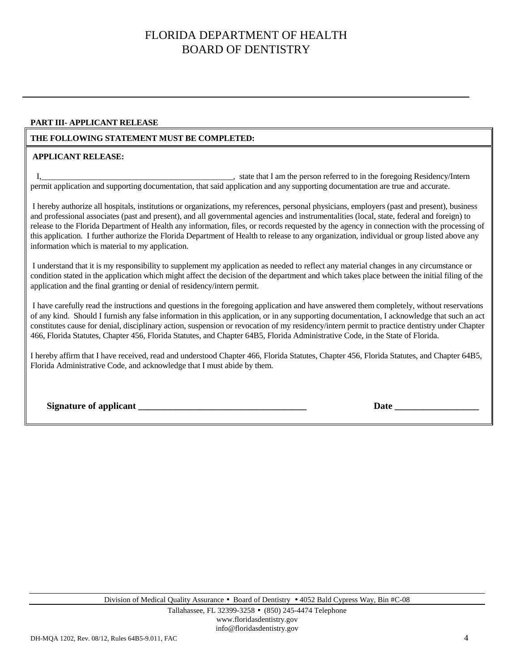#### **PART III- APPLICANT RELEASE**

### **THE FOLLOWING STATEMENT MUST BE COMPLETED:**

#### **APPLICANT RELEASE:**

I, state that I am the person referred to in the foregoing Residency/Intern permit application and supporting documentation, that said application and any supporting documentation are true and accurate.

 I hereby authorize all hospitals, institutions or organizations, my references, personal physicians, employers (past and present), business and professional associates (past and present), and all governmental agencies and instrumentalities (local, state, federal and foreign) to release to the Florida Department of Health any information, files, or records requested by the agency in connection with the processing of this application. I further authorize the Florida Department of Health to release to any organization, individual or group listed above any information which is material to my application.

 I understand that it is my responsibility to supplement my application as needed to reflect any material changes in any circumstance or condition stated in the application which might affect the decision of the department and which takes place between the initial filing of the application and the final granting or denial of residency/intern permit.

 I have carefully read the instructions and questions in the foregoing application and have answered them completely, without reservations of any kind. Should I furnish any false information in this application, or in any supporting documentation, I acknowledge that such an act constitutes cause for denial, disciplinary action, suspension or revocation of my residency/intern permit to practice dentistry under Chapter 466, Florida Statutes, Chapter 456, Florida Statutes, and Chapter 64B5, Florida Administrative Code, in the State of Florida.

I hereby affirm that I have received, read and understood Chapter 466, Florida Statutes, Chapter 456, Florida Statutes, and Chapter 64B5, Florida Administrative Code, and acknowledge that I must abide by them.

| <b>Signature of applicant</b> |  |  |
|-------------------------------|--|--|
|                               |  |  |

**Date**  $\frac{1}{2}$ 

Division of Medical Quality Assurance • Board of Dentistry • 4052 Bald Cypress Way, Bin #C-08

Tallahassee, FL 32399-3258 • (850) 245-4474 Telephone www.floridasdentistry.gov info@floridasdentistry.gov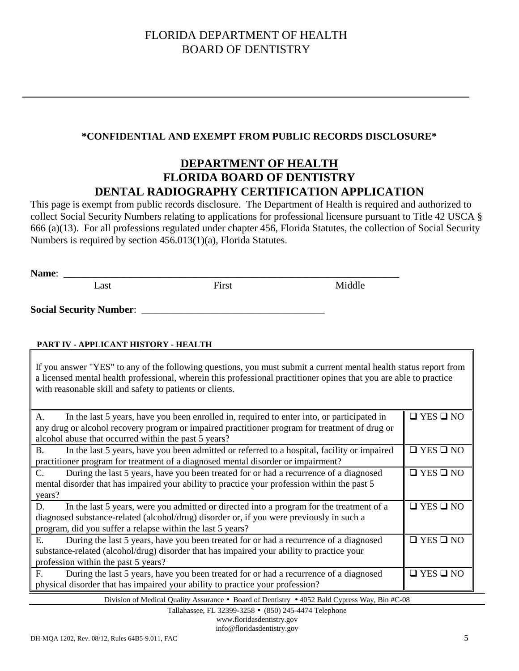### **\*CONFIDENTIAL AND EXEMPT FROM PUBLIC RECORDS DISCLOSURE\***

## **DEPARTMENT OF HEALTH FLORIDA BOARD OF DENTISTRY DENTAL RADIOGRAPHY CERTIFICATION APPLICATION**

This page is exempt from public records disclosure. The Department of Health is required and authorized to collect Social Security Numbers relating to applications for professional licensure pursuant to Title 42 USCA § 666 (a)(13). For all professions regulated under chapter 456, Florida Statutes, the collection of Social Security Numbers is required by section 456.013(1)(a), Florida Statutes.

| Name: |      |       |        |
|-------|------|-------|--------|
|       | Last | First | Middle |
|       |      |       |        |

**Social Security Number**: \_\_\_\_\_\_\_\_\_\_\_\_\_\_\_\_\_\_\_\_\_\_\_\_\_\_\_\_\_\_\_\_\_\_\_\_

### **PART IV - APPLICANT HISTORY - HEALTH**

If you answer "YES" to any of the following questions, you must submit a current mental health status report from a licensed mental health professional, wherein this professional practitioner opines that you are able to practice with reasonable skill and safety to patients or clients.

| In the last 5 years, have you been enrolled in, required to enter into, or participated in<br>A.         | $\Box$ YES $\Box$ NO |
|----------------------------------------------------------------------------------------------------------|----------------------|
| any drug or alcohol recovery program or impaired practitioner program for treatment of drug or           |                      |
|                                                                                                          |                      |
| alcohol abuse that occurred within the past 5 years?                                                     |                      |
| In the last 5 years, have you been admitted or referred to a hospital, facility or impaired<br><b>B.</b> | $\Box$ YES $\Box$ NO |
| practitioner program for treatment of a diagnosed mental disorder or impairment?                         |                      |
| During the last 5 years, have you been treated for or had a recurrence of a diagnosed<br>$C_{\cdot}$     | $\Box$ YES $\Box$ NO |
| mental disorder that has impaired your ability to practice your profession within the past 5             |                      |
| years?                                                                                                   |                      |
| In the last 5 years, were you admitted or directed into a program for the treatment of a<br>D.           | $\Box$ YES $\Box$ NO |
| diagnosed substance-related (alcohol/drug) disorder or, if you were previously in such a                 |                      |
| program, did you suffer a relapse within the last 5 years?                                               |                      |
| During the last 5 years, have you been treated for or had a recurrence of a diagnosed<br>Е.              | $\Box$ YES $\Box$ NO |
| substance-related (alcohol/drug) disorder that has impaired your ability to practice your                |                      |
| profession within the past 5 years?                                                                      |                      |
| During the last 5 years, have you been treated for or had a recurrence of a diagnosed<br>F.              | $\Box$ YES $\Box$ NO |
| physical disorder that has impaired your ability to practice your profession?                            |                      |

Division of Medical Quality Assurance • Board of Dentistry • 4052 Bald Cypress Way, Bin #C-08

Tallahassee, FL 32399-3258 • (850) 245-4474 Telephone

www.floridasdentistry.gov info@floridasdentistry.gov